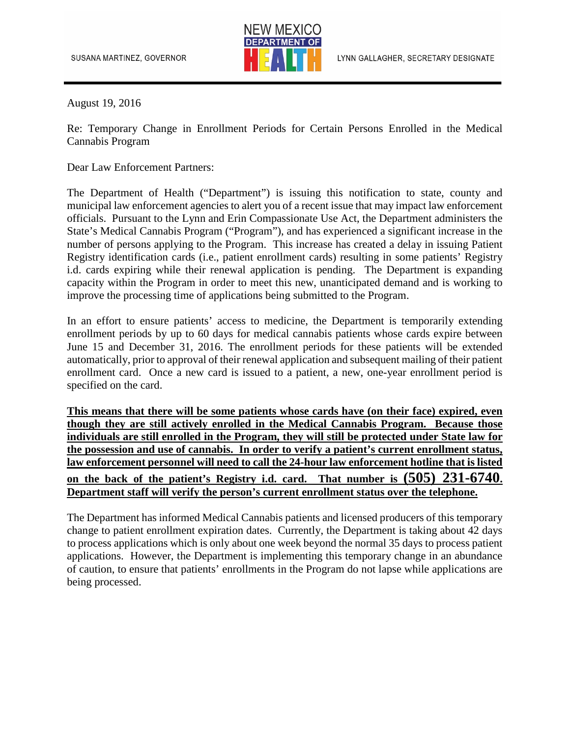

August 19, 2016

Re: Temporary Change in Enrollment Periods for Certain Persons Enrolled in the Medical Cannabis Program

Dear Law Enforcement Partners:

The Department of Health ("Department") is issuing this notification to state, county and municipal law enforcement agencies to alert you of a recent issue that may impact law enforcement officials. Pursuant to the Lynn and Erin Compassionate Use Act, the Department administers the State's Medical Cannabis Program ("Program"), and has experienced a significant increase in the number of persons applying to the Program. This increase has created a delay in issuing Patient Registry identification cards (i.e., patient enrollment cards) resulting in some patients' Registry i.d. cards expiring while their renewal application is pending. The Department is expanding capacity within the Program in order to meet this new, unanticipated demand and is working to improve the processing time of applications being submitted to the Program.

In an effort to ensure patients' access to medicine, the Department is temporarily extending enrollment periods by up to 60 days for medical cannabis patients whose cards expire between June 15 and December 31, 2016. The enrollment periods for these patients will be extended automatically, prior to approval of their renewal application and subsequent mailing of their patient enrollment card. Once a new card is issued to a patient, a new, one-year enrollment period is specified on the card.

**This means that there will be some patients whose cards have (on their face) expired, even though they are still actively enrolled in the Medical Cannabis Program. Because those individuals are still enrolled in the Program, they will still be protected under State law for the possession and use of cannabis. In order to verify a patient's current enrollment status, law enforcement personnel will need to call the 24-hour law enforcement hotline that is listed on the back of the patient's Registry i.d. card. That number is (505) 231-6740. Department staff will verify the person's current enrollment status over the telephone.**

The Department has informed Medical Cannabis patients and licensed producers of this temporary change to patient enrollment expiration dates. Currently, the Department is taking about 42 days to process applications which is only about one week beyond the normal 35 days to process patient applications. However, the Department is implementing this temporary change in an abundance of caution, to ensure that patients' enrollments in the Program do not lapse while applications are being processed.